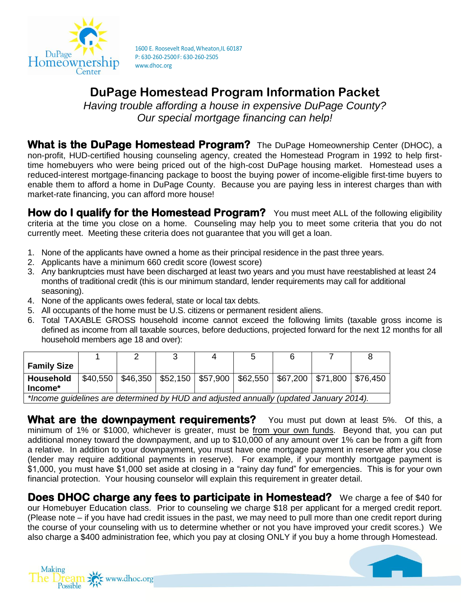

# **DuPage Homestead Program Information Packet**

*Having trouble affording a house in expensive DuPage County? Our special mortgage financing can help!*

**What is the DuPage Homestead Program?** The DuPage Homeownership Center (DHOC), a non-profit, HUD-certified housing counseling agency, created the Homestead Program in 1992 to help firsttime homebuyers who were being priced out of the high-cost DuPage housing market. Homestead uses a reduced-interest mortgage-financing package to boost the buying power of income-eligible first-time buyers to enable them to afford a home in DuPage County. Because you are paying less in interest charges than with market-rate financing, you can afford more house!

**How do I qualify for the Homestead Program?** You must meet ALL of the following eligibility criteria at the time you close on a home. Counseling may help you to meet some criteria that you do not currently meet. Meeting these criteria does not guarantee that you will get a loan.

- 1. None of the applicants have owned a home as their principal residence in the past three years.
- 2. Applicants have a minimum 660 credit score (lowest score)
- 3. Any bankruptcies must have been discharged at least two years and you must have reestablished at least 24 months of traditional credit (this is our minimum standard, lender requirements may call for additional seasoning).
- 4. None of the applicants owes federal, state or local tax debts.
- 5. All occupants of the home must be U.S. citizens or permanent resident aliens.
- 6. Total TAXABLE GROSS household income cannot exceed the following limits (taxable gross income is defined as income from all taxable sources, before deductions, projected forward for the next 12 months for all household members age 18 and over):

|                                                                                        |          |  |  |                                                                                    | C |  |  |  |
|----------------------------------------------------------------------------------------|----------|--|--|------------------------------------------------------------------------------------|---|--|--|--|
| <b>Family Size</b>                                                                     |          |  |  |                                                                                    |   |  |  |  |
| Household                                                                              | \$40,550 |  |  | $\vert$ \$46,350   \$52,150   \$57,900   \$62,550   \$67,200   \$71,800   \$76,450 |   |  |  |  |
| $Income*$                                                                              |          |  |  |                                                                                    |   |  |  |  |
| *Income guidelines are determined by HUD and adjusted annually (updated January 2014). |          |  |  |                                                                                    |   |  |  |  |

**What are the downpayment requirements?** You must put down at least 5%. Of this, a minimum of 1% or \$1000, whichever is greater, must be from your own funds. Beyond that, you can put additional money toward the downpayment, and up to \$10,000 of any amount over 1% can be from a gift from a relative. In addition to your downpayment, you must have one mortgage payment in reserve after you close (lender may require additional payments in reserve). For example, if your monthly mortgage payment is \$1,000, you must have \$1,000 set aside at closing in a "rainy day fund" for emergencies. This is for your own financial protection. Your housing counselor will explain this requirement in greater detail.

**Does DHOC charge any fees to participate in Homestead?** We charge a fee of \$40 for our Homebuyer Education class. Prior to counseling we charge \$18 per applicant for a merged credit report. (Please note – if you have had credit issues in the past, we may need to pull more than one credit report during the course of your counseling with us to determine whether or not you have improved your credit scores.) We also charge a \$400 administration fee, which you pay at closing ONLY if you buy a home through Homestead.



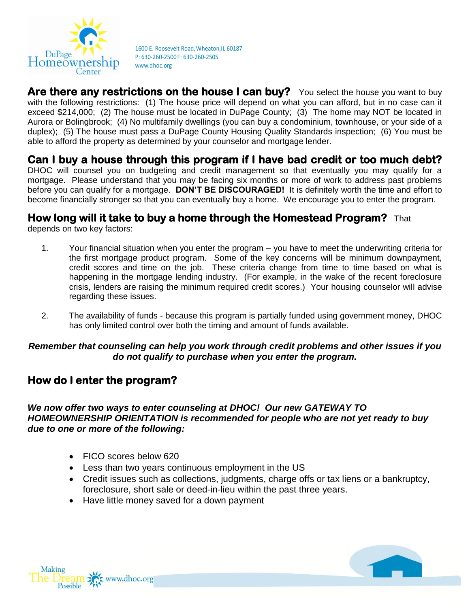

Are there any restrictions on the house I can buy? You select the house you want to buy with the following restrictions: (1) The house price will depend on what you can afford, but in no case can it exceed \$214,000; (2) The house must be located in DuPage County; (3) The home may NOT be located in Aurora or Bolingbrook; (4) No multifamily dwellings (you can buy a condominium, townhouse, or your side of a duplex); (5) The house must pass a DuPage County Housing Quality Standards inspection; (6) You must be able to afford the property as determined by your counselor and mortgage lender.

## **Can I buy a house through this program if I have bad credit or too much debt?**

DHOC will counsel you on budgeting and credit management so that eventually you may qualify for a mortgage. Please understand that you may be facing six months or more of work to address past problems before you can qualify for a mortgage. **DON'T BE DISCOURAGED!** It is definitely worth the time and effort to become financially stronger so that you can eventually buy a home. We encourage you to enter the program.

### **How long will it take to buy a home through the Homestead Program?** That

depends on two key factors:

- 1. Your financial situation when you enter the program you have to meet the underwriting criteria for the first mortgage product program. Some of the key concerns will be minimum downpayment, credit scores and time on the job. These criteria change from time to time based on what is happening in the mortgage lending industry. (For example, in the wake of the recent foreclosure crisis, lenders are raising the minimum required credit scores.) Your housing counselor will advise regarding these issues.
- 2. The availability of funds because this program is partially funded using government money, DHOC has only limited control over both the timing and amount of funds available.

#### *Remember that counseling can help you work through credit problems and other issues if you do not qualify to purchase when you enter the program.*

### **How do I enter the program?**

### *We now offer two ways to enter counseling at DHOC! Our new GATEWAY TO HOMEOWNERSHIP ORIENTATION is recommended for people who are not yet ready to buy due to one or more of the following:*

- FICO scores below 620
- Less than two years continuous employment in the US
- Credit issues such as collections, judgments, charge offs or tax liens or a bankruptcy, foreclosure, short sale or deed-in-lieu within the past three years.
- Have little money saved for a down payment

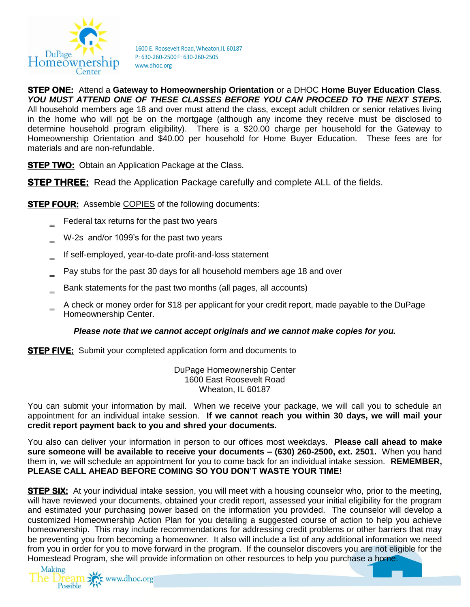

**STEP ONE:** Attend a **Gateway to Homeownership Orientation** or a DHOC **Home Buyer Education Class**. *YOU MUST ATTEND ONE OF THESE CLASSES BEFORE YOU CAN PROCEED TO THE NEXT STEPS.* All household members age 18 and over must attend the class, except adult children or senior relatives living in the home who will not be on the mortgage (although any income they receive must be disclosed to determine household program eligibility). There is a \$20.00 charge per household for the Gateway to Homeownership Orientation and \$40.00 per household for Home Buyer Education. These fees are for materials and are non-refundable.

**STEP TWO:** Obtain an Application Package at the Class.

**STEP THREE:** Read the Application Package carefully and complete ALL of the fields.

**STEP FOUR:** Assemble COPIES of the following documents:

- Federal tax returns for the past two years
- W-2s and/or 1099's for the past two years
- ‗ If self-employed, year-to-date profit-and-loss statement
- Pay stubs for the past 30 days for all household members age 18 and over
- $\equiv$  Bank statements for the past two months (all pages, all accounts)
- ‗ A check or money order for \$18 per applicant for your credit report, made payable to the DuPage Homeownership Center.

#### *Please note that we cannot accept originals and we cannot make copies for you.*

**STEP FIVE:** Submit your completed application form and documents to

DuPage Homeownership Center 1600 East Roosevelt Road Wheaton, IL 60187

You can submit your information by mail. When we receive your package, we will call you to schedule an appointment for an individual intake session. **If we cannot reach you within 30 days, we will mail your credit report payment back to you and shred your documents.**

You also can deliver your information in person to our offices most weekdays. **Please call ahead to make sure someone will be available to receive your documents – (630) 260-2500, ext. 2501.** When you hand them in, we will schedule an appointment for you to come back for an individual intake session. **REMEMBER, PLEASE CALL AHEAD BEFORE COMING SO YOU DON'T WASTE YOUR TIME!** 

**STEP SIX:** At your individual intake session, you will meet with a housing counselor who, prior to the meeting, will have reviewed your documents, obtained your credit report, assessed your initial eligibility for the program and estimated your purchasing power based on the information you provided. The counselor will develop a customized Homeownership Action Plan for you detailing a suggested course of action to help you achieve homeownership. This may include recommendations for addressing credit problems or other barriers that may be preventing you from becoming a homeowner. It also will include a list of any additional information we need from you in order for you to move forward in the program. If the counselor discovers you are not eligible for the Homestead Program, she will provide information on other resources to help you purchase a home.

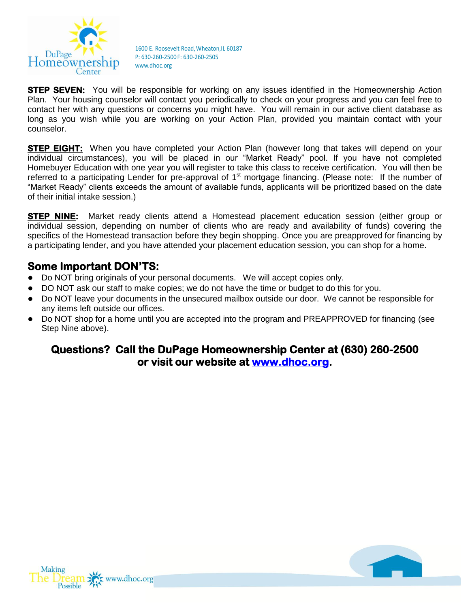

**STEP SEVEN:** You will be responsible for working on any issues identified in the Homeownership Action Plan. Your housing counselor will contact you periodically to check on your progress and you can feel free to contact her with any questions or concerns you might have. You will remain in our active client database as long as you wish while you are working on your Action Plan, provided you maintain contact with your counselor.

**STEP EIGHT:** When you have completed your Action Plan (however long that takes will depend on your individual circumstances), you will be placed in our "Market Ready" pool. If you have not completed Homebuyer Education with one year you will register to take this class to receive certification. You will then be referred to a participating Lender for pre-approval of 1<sup>st</sup> mortgage financing. (Please note: If the number of "Market Ready" clients exceeds the amount of available funds, applicants will be prioritized based on the date of their initial intake session.)

**STEP NINE:** Market ready clients attend a Homestead placement education session (either group or individual session, depending on number of clients who are ready and availability of funds) covering the specifics of the Homestead transaction before they begin shopping. Once you are preapproved for financing by a participating lender, and you have attended your placement education session, you can shop for a home.

### **Some Important DON'TS:**

- Do NOT bring originals of your personal documents. We will accept copies only.
- DO NOT ask our staff to make copies; we do not have the time or budget to do this for you.
- Do NOT leave your documents in the unsecured mailbox outside our door. We cannot be responsible for any items left outside our offices.
- Do NOT shop for a home until you are accepted into the program and PREAPPROVED for financing (see Step Nine above).

### **Questions? Call the DuPage Homeownership Center at (630) 260-2500 or visit our website at [www.dhoc.org.](http://www.dhoc.org/)**